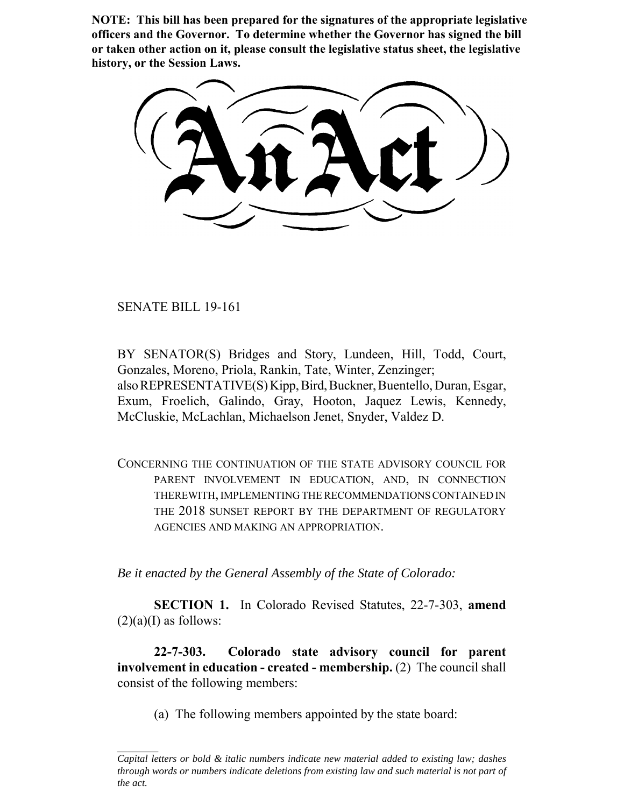**NOTE: This bill has been prepared for the signatures of the appropriate legislative officers and the Governor. To determine whether the Governor has signed the bill or taken other action on it, please consult the legislative status sheet, the legislative history, or the Session Laws.**

SENATE BILL 19-161

BY SENATOR(S) Bridges and Story, Lundeen, Hill, Todd, Court, Gonzales, Moreno, Priola, Rankin, Tate, Winter, Zenzinger; also REPRESENTATIVE(S) Kipp, Bird, Buckner, Buentello, Duran, Esgar, Exum, Froelich, Galindo, Gray, Hooton, Jaquez Lewis, Kennedy, McCluskie, McLachlan, Michaelson Jenet, Snyder, Valdez D.

CONCERNING THE CONTINUATION OF THE STATE ADVISORY COUNCIL FOR PARENT INVOLVEMENT IN EDUCATION, AND, IN CONNECTION THEREWITH, IMPLEMENTING THE RECOMMENDATIONS CONTAINED IN THE 2018 SUNSET REPORT BY THE DEPARTMENT OF REGULATORY AGENCIES AND MAKING AN APPROPRIATION.

*Be it enacted by the General Assembly of the State of Colorado:*

**SECTION 1.** In Colorado Revised Statutes, 22-7-303, **amend**  $(2)(a)$ (I) as follows:

**22-7-303. Colorado state advisory council for parent involvement in education - created - membership.** (2) The council shall consist of the following members:

(a) The following members appointed by the state board:

*Capital letters or bold & italic numbers indicate new material added to existing law; dashes through words or numbers indicate deletions from existing law and such material is not part of the act.*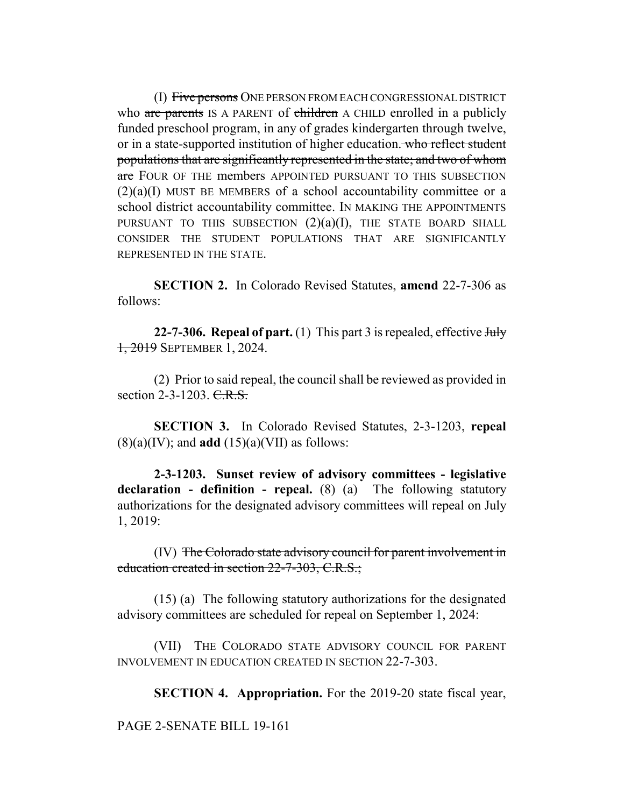(I) Five persons ONE PERSON FROM EACH CONGRESSIONAL DISTRICT who are parents IS A PARENT of children A CHILD enrolled in a publicly funded preschool program, in any of grades kindergarten through twelve, or in a state-supported institution of higher education. who reflect student populations that are significantly represented in the state; and two of whom are FOUR OF THE members APPOINTED PURSUANT TO THIS SUBSECTION  $(2)(a)(I)$  MUST BE MEMBERS of a school accountability committee or a school district accountability committee. IN MAKING THE APPOINTMENTS PURSUANT TO THIS SUBSECTION  $(2)(a)(I)$ , THE STATE BOARD SHALL CONSIDER THE STUDENT POPULATIONS THAT ARE SIGNIFICANTLY REPRESENTED IN THE STATE.

**SECTION 2.** In Colorado Revised Statutes, **amend** 22-7-306 as follows:

**22-7-306. Repeal of part.** (1) This part 3 is repealed, effective Huly 1, 2019 SEPTEMBER 1, 2024.

(2) Prior to said repeal, the council shall be reviewed as provided in section  $2-3-1203$ . C.R.S.

**SECTION 3.** In Colorado Revised Statutes, 2-3-1203, **repeal**  $(8)(a)(IV)$ ; and **add**  $(15)(a)(VII)$  as follows:

**2-3-1203. Sunset review of advisory committees - legislative declaration - definition - repeal.** (8) (a) The following statutory authorizations for the designated advisory committees will repeal on July 1, 2019:

(IV) The Colorado state advisory council for parent involvement in education created in section 22-7-303, C.R.S.;

(15) (a) The following statutory authorizations for the designated advisory committees are scheduled for repeal on September 1, 2024:

(VII) THE COLORADO STATE ADVISORY COUNCIL FOR PARENT INVOLVEMENT IN EDUCATION CREATED IN SECTION 22-7-303.

**SECTION 4. Appropriation.** For the 2019-20 state fiscal year,

PAGE 2-SENATE BILL 19-161